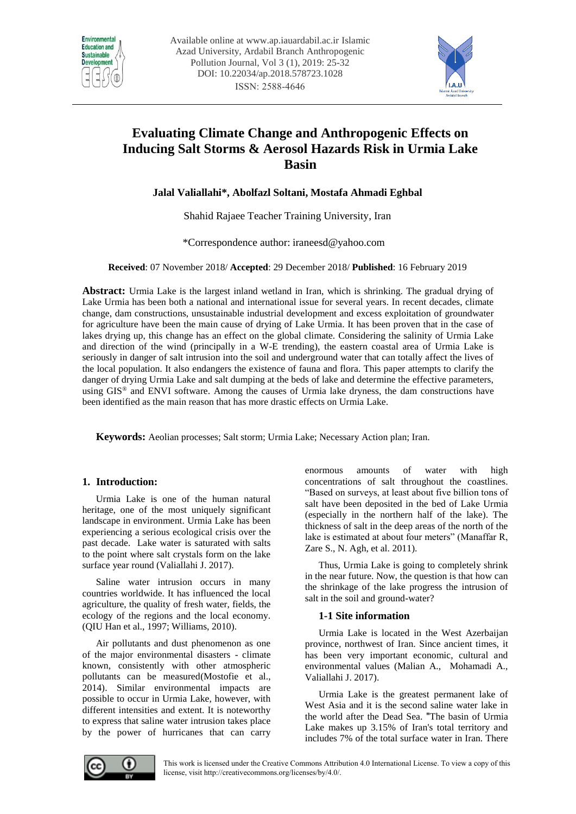



# **Evaluating Climate Change and Anthropogenic Effects on Inducing Salt Storms & Aerosol Hazards Risk in Urmia Lake Basin**

**Jalal Valiallahi\*, Abolfazl Soltani, Mostafa Ahmadi Eghbal** 

Shahid Rajaee Teacher Training University, Iran

\*Correspondence author[: iraneesd@yahoo.com](mailto:iraneesd@yahoo.com) 

**Received**: 07 November 2018/ **Accepted**: 29 December 2018/ **Published**: 16 February 2019

**Abstract:** Urmia Lake is the largest inland wetland in Iran, which is shrinking. The gradual drying of Lake Urmia has been both a national and international issue for several years. In recent decades, climate change, dam constructions, unsustainable industrial development and excess exploitation of groundwater for agriculture have been the main cause of drying of Lake Urmia. It has been proven that in the case of lakes drying up, this change has an effect on the global climate. Considering the salinity of Urmia Lake and direction of the wind (principally in a W-E trending), the eastern coastal area of Urmia Lake is seriously in danger of salt intrusion into the soil and underground water that can totally affect the lives of the local population. It also endangers the existence of fauna and flora. This paper attempts to clarify the danger of drying Urmia Lake and salt dumping at the beds of lake and determine the effective parameters, using GIS® and ENVI software. Among the causes of Urmia lake dryness, the dam constructions have been identified as the main reason that has more drastic effects on Urmia Lake.

**Keywords:** Aeolian processes; Salt storm; Urmia Lake; Necessary Action plan; Iran.

# **1. Introduction:**

Urmia Lake is one of the human natural heritage, one of the most uniquely significant landscape in environment. Urmia Lake has been experiencing a serious ecological crisis over the past decade. Lake water is saturated with salts to the point where salt crystals form on the lake surface year round (Valiallahi J. 2017).

Saline water intrusion occurs in many countries worldwide. It has influenced the local agriculture, the quality of fresh water, fields, the ecology of the regions and the local economy. (QIU Han et al., 1997; Williams, 2010).

Air pollutants and dust phenomenon as one of the major environmental disasters - climate known, consistently with other atmospheric pollutants can be measured(Mostofie et al., 2014). Similar environmental impacts are possible to occur in Urmia Lake, however, with different intensities and extent. It is noteworthy to express that saline water intrusion takes place by the power of hurricanes that can carry enormous amounts of water with high concentrations of salt throughout the coastlines. "Based on surveys, at least about five billion tons of salt have been deposited in the bed of Lake Urmia (especially in the northern half of the lake). The thickness of salt in the deep areas of the north of the lake is estimated at about four meters" (Manaffar R, Zare S., N. Agh, et al. 2011).

Thus, Urmia Lake is going to completely shrink in the near future. Now, the question is that how can the shrinkage of the lake progress the intrusion of salt in the soil and ground-water?

# **1-1 Site information**

Urmia Lake is located in the West Azerbaijan province, northwest of Iran. Since ancient times, it has been very important economic, cultural and environmental values (Malian A., Mohamadi A., Valiallahi J. 2017).

Urmia Lake is the greatest permanent lake of West Asia and it is the second saline water lake in the world after the Dead Sea. "The basin of Urmia Lake makes up 3.15% of Iran's total territory and includes 7% of the total surface water in Iran. There

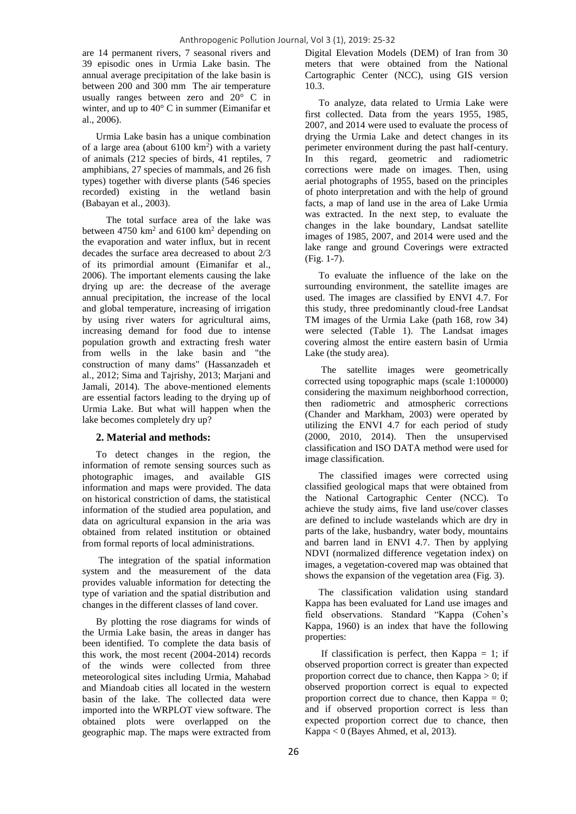are 14 permanent rivers, 7 seasonal rivers and 39 episodic ones in Urmia Lake basin. The annual average precipitation of the lake basin is between 200 and 300 mm The air temperature usually ranges between zero and 20° C in winter, and up to 40° C in summer (Eimanifar et al., 2006).

Urmia Lake basin has a unique combination of a large area (about  $6100 \text{ km}^2$ ) with a variety of animals (212 species of birds, 41 reptiles, 7 amphibians, 27 species of mammals, and 26 fish types) together with diverse plants (546 species recorded) existing in the wetland basin (Babayan et al., 2003).

 The total surface area of the lake was between  $4750 \text{ km}^2$  and  $6100 \text{ km}^2$  depending on the evaporation and water influx, but in recent decades the surface area decreased to about 2/3 of its primordial amount (Eimanifar et al., 2006). The important elements causing the lake drying up are: the decrease of the average annual precipitation, the increase of the local and global temperature, increasing of irrigation by using river waters for agricultural aims, increasing demand for food due to intense population growth and extracting fresh water from wells in the lake basin and "the construction of many dams" (Hassanzadeh et al., 2012; Sima and Tajrishy, 2013; Marjani and Jamali, 2014). The above-mentioned elements are essential factors leading to the drying up of Urmia Lake. But what will happen when the lake becomes completely dry up?

## **2. Material and methods:**

To detect changes in the region, the information of remote sensing sources such as photographic images, and available GIS information and maps were provided. The data on historical constriction of dams, the statistical information of the studied area population, and data on agricultural expansion in the aria was obtained from related institution or obtained from formal reports of local administrations.

The integration of the spatial information system and the measurement of the data provides valuable information for detecting the type of variation and the spatial distribution and changes in the different classes of land cover.

By plotting the rose diagrams for winds of the Urmia Lake basin, the areas in danger has been identified. To complete the data basis of this work, the most recent (2004-2014) records of the winds were collected from three meteorological sites including Urmia, Mahabad and Miandoab cities all located in the western basin of the lake. The collected data were imported into the WRPLOT view software. The obtained plots were overlapped on the geographic map. The maps were extracted from Digital Elevation Models (DEM) of Iran from 30 meters that were obtained from the National Cartographic Center (NCC), using GIS version 10.3.

To analyze, data related to Urmia Lake were first collected. Data from the years 1955, 1985, 2007, and 2014 were used to evaluate the process of drying the Urmia Lake and detect changes in its perimeter environment during the past half-century. In this regard, geometric and radiometric corrections were made on images. Then, using aerial photographs of 1955, based on the principles of photo interpretation and with the help of ground facts, a map of land use in the area of Lake Urmia was extracted. In the next step, to evaluate the changes in the lake boundary, Landsat satellite images of 1985, 2007, and 2014 were used and the lake range and ground Coverings were extracted (Fig. 1-7).

To evaluate the influence of the lake on the surrounding environment, the satellite images are used. The images are classified by ENVI 4.7. For this study, three predominantly cloud-free Landsat TM images of the Urmia Lake (path 168, row 34) were selected (Table 1). The Landsat images covering almost the entire eastern basin of Urmia Lake (the study area).

The satellite images were geometrically corrected using topographic maps (scale 1:100000) considering the maximum neighborhood correction, then radiometric and atmospheric corrections (Chander and Markham, 2003) were operated by utilizing the ENVI 4.7 for each period of study (2000, 2010, 2014). Then the unsupervised classification and ISO DATA method were used for image classification.

The classified images were corrected using classified geological maps that were obtained from the National Cartographic Center (NCC). To achieve the study aims, five land use/cover classes are defined to include wastelands which are dry in parts of the lake, husbandry, water body, mountains and barren land in ENVI 4.7. Then by applying NDVI (normalized difference vegetation index) on images, a vegetation-covered map was obtained that shows the expansion of the vegetation area (Fig. 3).

The classification validation using standard Kappa has been evaluated for Land use images and field observations. Standard "Kappa (Cohen's Kappa, 1960) is an index that have the following properties:

If classification is perfect, then Kappa  $= 1$ ; if observed proportion correct is greater than expected proportion correct due to chance, then  $Kappa > 0$ ; if observed proportion correct is equal to expected proportion correct due to chance, then  $Kappa = 0$ ; and if observed proportion correct is less than expected proportion correct due to chance, then Kappa < 0 (Bayes Ahmed, et al, 2013).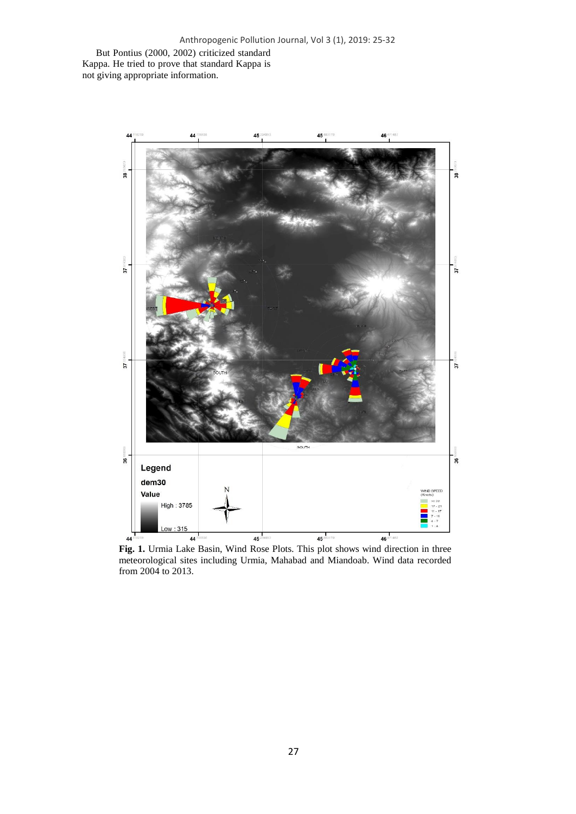But Pontius (2000, 2002) criticized standard Kappa. He tried to prove that standard Kappa is not giving appropriate information.



**Fig. 1.** Urmia Lake Basin, Wind Rose Plots. This plot shows wind direction in three meteorological sites including Urmia, Mahabad and Miandoab. Wind data recorded from 2004 to 2013.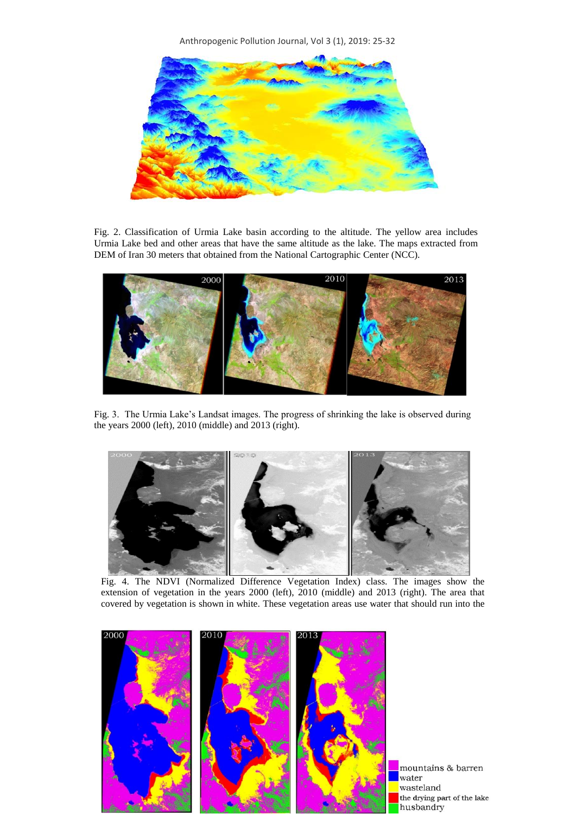Anthropogenic Pollution Journal, Vol 3 (1), 2019: 25-32



Fig. 2. Classification of Urmia Lake basin according to the altitude. The yellow area includes Urmia Lake bed and other areas that have the same altitude as the lake. The maps extracted from DEM of Iran 30 meters that obtained from the National Cartographic Center (NCC).



Fig. 3. The Urmia Lake's Landsat images. The progress of shrinking the lake is observed during the years 2000 (left), 2010 (middle) and 2013 (right).



Fig. 4. The NDVI (Normalized Difference Vegetation Index) class. The images show the extension of vegetation in the years 2000 (left), 2010 (middle) and 2013 (right). The area that covered by vegetation is shown in white. These vegetation areas use water that should run into the



mountains & barren wasteland the drying part of the lake husbandry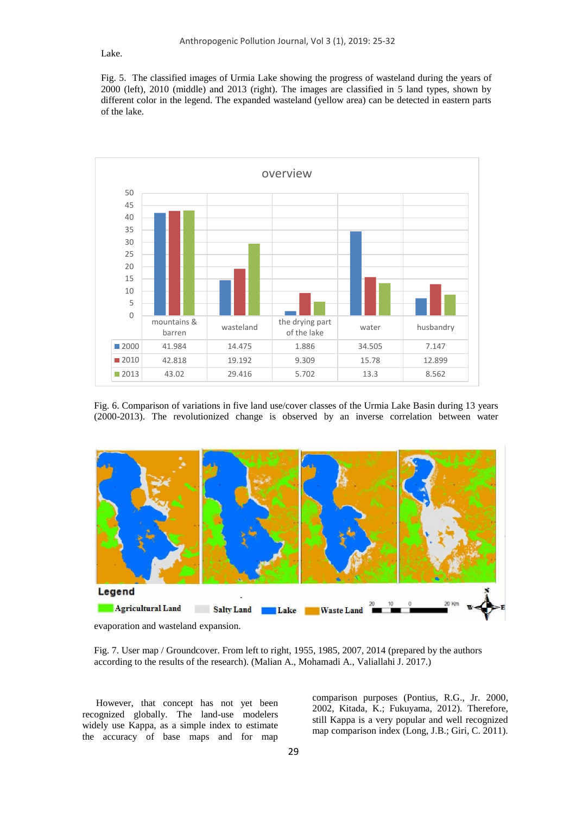Lake.

Fig. 5. The classified images of Urmia Lake showing the progress of wasteland during the years of 2000 (left), 2010 (middle) and 2013 (right). The images are classified in 5 land types, shown by different color in the legend. The expanded wasteland (yellow area) can be detected in eastern parts of the lake.



Fig. 6. Comparison of variations in five land use/cover classes of the Urmia Lake Basin during 13 years (2000-2013). The revolutionized change is observed by an inverse correlation between water





Fig. 7. User map / Groundcover. From left to right, 1955, 1985, 2007, 2014 (prepared by the authors according to the results of the research). (Malian A., Mohamadi A., Valiallahi J. 2017.)

However, that concept has not yet been recognized globally. The land-use modelers widely use Kappa, as a simple index to estimate the accuracy of base maps and for map

comparison purposes (Pontius, R.G., Jr. 2000, 2002, Kitada, K.; Fukuyama, 2012). Therefore, still Kappa is a very popular and well recognized map comparison index (Long, J.B.; Giri, C. 2011).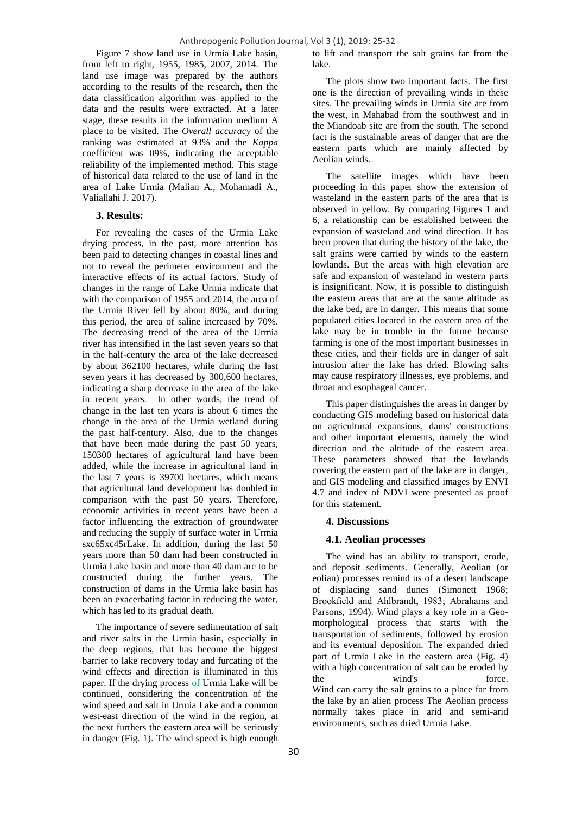Figure 7 show land use in Urmia Lake basin, from left to right, 1955, 1985, 2007, 2014. The land use image was prepared by the authors according to the results of the research, then the data classification algorithm was applied to the data and the results were extracted. At a later stage, these results in the information medium A place to be visited. The *Overall accuracy* of the ranking was estimated at 93% and the *Kappa* coefficient was 09%, indicating the acceptable reliability of the implemented method. This stage of historical data related to the use of land in the area of Lake Urmia (Malian A., Mohamadi A., Valiallahi J. 2017).

#### **3. Results:**

For revealing the cases of the Urmia Lake drying process, in the past, more attention has been paid to detecting changes in coastal lines and not to reveal the perimeter environment and the interactive effects of its actual factors. Study of changes in the range of Lake Urmia indicate that with the comparison of 1955 and 2014, the area of the Urmia River fell by about 80%, and during this period, the area of saline increased by 70%. The decreasing trend of the area of the Urmia river has intensified in the last seven years so that in the half-century the area of the lake decreased by about 362100 hectares, while during the last seven years it has decreased by 300,600 hectares, indicating a sharp decrease in the area of the lake in recent years. In other words, the trend of change in the last ten years is about 6 times the change in the area of the Urmia wetland during the past half-century. Also, due to the changes that have been made during the past 50 years, 150300 hectares of agricultural land have been added, while the increase in agricultural land in the last 7 years is 39700 hectares, which means that agricultural land development has doubled in comparison with the past 50 years. Therefore, economic activities in recent years have been a factor influencing the extraction of groundwater and reducing the supply of surface water in Urmia sxc65xc45rLake. In addition, during the last 50 years more than 50 dam had been constructed in Urmia Lake basin and more than 40 dam are to be constructed during the further years. The construction of dams in the Urmia lake basin has been an exacerbating factor in reducing the water, which has led to its gradual death.

The importance of severe sedimentation of salt and river salts in the Urmia basin, especially in the deep regions, that has become the biggest barrier to lake recovery today and furcating of the wind effects and direction is illuminated in this paper. If the drying process of Urmia Lake will be continued, considering the concentration of the wind speed and salt in Urmia Lake and a common west-east direction of the wind in the region, at the next furthers the eastern area will be seriously in danger (Fig. 1). The wind speed is high enough

to lift and transport the salt grains far from the lake.

The plots show two important facts. The first one is the direction of prevailing winds in these sites. The prevailing winds in Urmia site are from the west, in Mahabad from the southwest and in the Miandoab site are from the south. The second fact is the sustainable areas of danger that are the eastern parts which are mainly affected by Aeolian winds.

The satellite images which have been proceeding in this paper show the extension of wasteland in the eastern parts of the area that is observed in yellow. By comparing Figures 1 and 6, a relationship can be established between the expansion of wasteland and wind direction. It has been proven that during the history of the lake, the salt grains were carried by winds to the eastern lowlands. But the areas with high elevation are safe and expansion of wasteland in western parts is insignificant. Now, it is possible to distinguish the eastern areas that are at the same altitude as the lake bed, are in danger. This means that some populated cities located in the eastern area of the lake may be in trouble in the future because farming is one of the most important businesses in these cities, and their fields are in danger of salt intrusion after the lake has dried. Blowing salts may cause respiratory illnesses, eye problems, and throat and esophageal cancer.

This paper distinguishes the areas in danger by conducting GIS modeling based on historical data on agricultural expansions, dams' constructions and other important elements, namely the wind direction and the altitude of the eastern area. These parameters showed that the lowlands covering the eastern part of the lake are in danger, and GIS modeling and classified images by ENVI 4.7 and index of NDVI were presented as proof for this statement.

#### **4. Discussions**

#### **4.1. Aeolian processes**

The wind has an ability to transport, erode, and deposit sediments. Generally, Aeolian (or eolian) processes remind us of a desert landscape of displacing sand dunes (Simonett 1968; Brookfield and Ahlbrandt, 1983; Abrahams and Parsons, 1994). Wind plays a key role in a Geomorphological process that starts with the transportation of sediments, followed by erosion and its eventual deposition. The expanded dried part of Urmia Lake in the eastern area (Fig. 4) with a high concentration of salt can be eroded by the wind's force. Wind can carry the salt grains to a place far from the lake by an alien process The Aeolian process normally takes place in arid and semi-arid environments, such as dried Urmia Lake.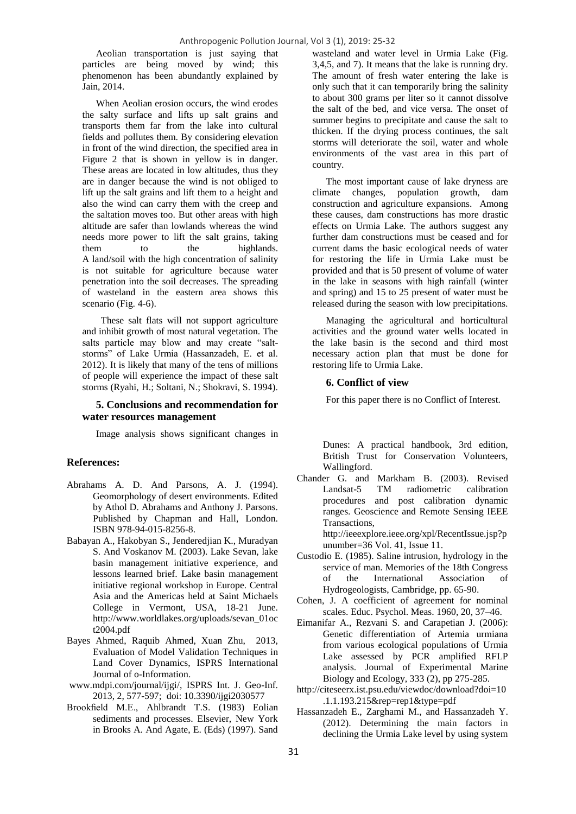Aeolian transportation is just saying that particles are being moved by wind; this phenomenon has been abundantly explained by Jain, 2014.

When Aeolian erosion occurs, the wind erodes the salty surface and lifts up salt grains and transports them far from the lake into cultural fields and pollutes them. By considering elevation in front of the wind direction, the specified area in Figure 2 that is shown in yellow is in danger. These areas are located in low altitudes, thus they are in danger because the wind is not obliged to lift up the salt grains and lift them to a height and also the wind can carry them with the creep and the saltation moves too. But other areas with high altitude are safer than lowlands whereas the wind needs more power to lift the salt grains, taking them to the highlands. A land/soil with the high concentration of salinity is not suitable for agriculture because water penetration into the soil decreases. The spreading of wasteland in the eastern area shows this scenario (Fig. 4-6).

 These salt flats will not support agriculture and inhibit growth of most natural vegetation. The salts particle may blow and may create "saltstorms" of Lake Urmia (Hassanzadeh, E. et al. 2012). It is likely that many of the tens of millions of people will experience the impact of these salt storms (Ryahi, H.; Soltani, N.; Shokravi, S. 1994).

## **5. Conclusions and recommendation for water resources management**

Image analysis shows significant changes in

### **References:**

- Abrahams A. D. And Parsons, A. J. (1994). Geomorphology of desert environments. Edited by Athol D. Abrahams and Anthony J. Parsons. Published by Chapman and Hall, London. ISBN 978-94-015-8256-8.
- Babayan A., Hakobyan S., Jenderedjian K., Muradyan S. And Voskanov M. (2003). Lake Sevan, lake basin management initiative experience, and lessons learned brief. Lake basin management initiative regional workshop in Europe. Central Asia and the Americas held at Saint Michaels College in Vermont, USA, 18-21 June. [http://www.worldlakes.org/uploads/sevan\\_01oc](http://www.worldlakes.org/uploads/sevan_01oct2004.pdf) [t2004.pdf](http://www.worldlakes.org/uploads/sevan_01oct2004.pdf)
- Bayes Ahmed, Raquib Ahmed, Xuan Zhu, 2013, Evaluation of Model Validation Techniques in Land Cover Dynamics, ISPRS International Journal of o-Information.
- [www.mdpi.com/journal/ijgi/,](http://www.mdpi.com/journal/ijgi/) ISPRS Int. J. Geo-Inf. 2013, 2, 577-597; doi: [10.3390/ijgi2030577](file:///C:/Users/Windows%2010/Desktop/00000%20submited%20complet/0000ready/0000%2017%20July%20new%20submition/Ahmadi%20Urmiafebuary%20peer%20j/Antropogenic%20pollution/ISPRS%20Int.%20J.%20Geo-Inf.%202013,%202,%20577-597;%20doi:%2010.3390/ijgi2030577)
- Brookfield M.E., Ahlbrandt T.S. (1983) Eolian sediments and processes. Elsevier, New York in Brooks A. And Agate, E. (Eds) (1997). Sand

wasteland and water level in Urmia Lake (Fig. 3,4,5, and 7). It means that the lake is running dry. The amount of fresh water entering the lake is only such that it can temporarily bring the salinity to about 300 grams per liter so it cannot dissolve the salt of the bed, and vice versa. The onset of summer begins to precipitate and cause the salt to thicken. If the drying process continues, the salt storms will deteriorate the soil, water and whole environments of the vast area in this part of country.

The most important cause of lake dryness are climate changes, population growth, dam construction and agriculture expansions. Among these causes, dam constructions has more drastic effects on Urmia Lake. The authors suggest any further dam constructions must be ceased and for current dams the basic ecological needs of water for restoring the life in Urmia Lake must be provided and that is 50 present of volume of water in the lake in seasons with high rainfall (winter and spring) and 15 to 25 present of water must be released during the season with low precipitations.

Managing the agricultural and horticultural activities and the ground water wells located in the lake basin is the second and third most necessary action plan that must be done for restoring life to Urmia Lake.

#### **6. Conflict of view**

For this paper there is no Conflict of Interest.

Dunes: A practical handbook, 3rd edition, British Trust for Conservation Volunteers, Wallingford.

Chander G. and Markham B. (2003). Revised Landsat-5 TM radiometric calibration procedures and post calibration dynamic ranges. Geoscience and Remote Sensing IEEE Transactions,

[http://ieeexplore.ieee.org/xpl/RecentIssue.jsp?p](http://ieeexplore.ieee.org/xpl/RecentIssue.jsp?punumber=36) [unumber=36](http://ieeexplore.ieee.org/xpl/RecentIssue.jsp?punumber=36) Vol. 41, Issue 11.

- Custodio E. (1985). Saline intrusion, hydrology in the service of man. Memories of the 18th Congress of the International Association of Hydrogeologists, Cambridge, pp. 65-90.
- Cohen, J. A coefficient of agreement for nominal scales. Educ. Psychol. Meas. 1960, 20, 37–46.
- Eimanifar A., Rezvani S. and Carapetian J. (2006): Genetic differentiation of Artemia urmiana from various ecological populations of Urmia Lake assessed by PCR amplified RFLP analysis. Journal of Experimental Marine Biology and Ecology, 333 (2), pp 275-285.
- [http://citeseerx.ist.psu.edu/viewdoc/download?doi=10](http://citeseerx.ist.psu.edu/viewdoc/download?doi=10.1.1.193.215&rep=rep1&type=pdf) [.1.1.193.215&rep=rep1&type=pdf](http://citeseerx.ist.psu.edu/viewdoc/download?doi=10.1.1.193.215&rep=rep1&type=pdf)
- Hassanzadeh E., Zarghami M., and Hassanzadeh Y. (2012). Determining the main factors in declining the Urmia Lake level by using system